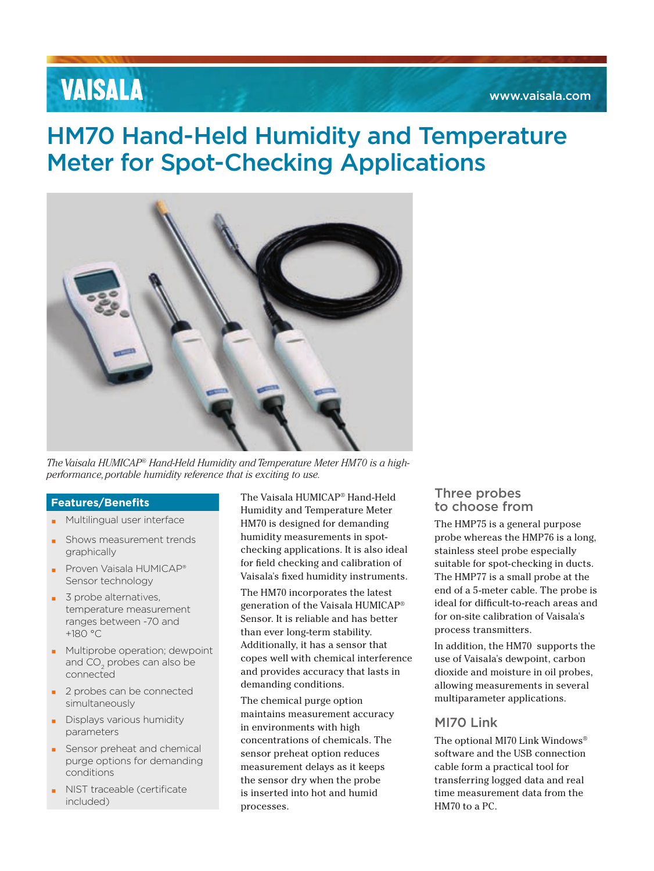# **VAISALA**

# HM70 Hand-Held Humidity and Temperature Meter for Spot-Checking Applications



*The Vaisala HUMICAP® Hand-Held Humidity and Temperature Meter HM70 is a highperformance, portable humidity reference that is exciting to use.*

### **Features/Benefits**

- Multilingual user interface
- Shows measurement trends graphically
- Proven Vaisala HUMICAP® Sensor technology
- 3 probe alternatives, temperature measurement ranges between -70 and +180 °C
- **■** Multiprobe operation; dewpoint and CO $_{\rm 2}$  probes can also be connected
- 2 probes can be connected simultaneously
- Displays various humidity parameters
- Sensor preheat and chemical purge options for demanding conditions
- NIST traceable (certificate included)

The Vaisala HUMICAP® Hand-Held Humidity and Temperature Meter HM70 is designed for demanding humidity measurements in spotchecking applications. It is also ideal for field checking and calibration of Vaisala's fixed humidity instruments.

The HM70 incorporates the latest generation of the Vaisala HUMICAP® Sensor. It is reliable and has better than ever long-term stability. Additionally, it has a sensor that copes well with chemical interference and provides accuracy that lasts in demanding conditions.

The chemical purge option maintains measurement accuracy in environments with high concentrations of chemicals. The sensor preheat option reduces measurement delays as it keeps the sensor dry when the probe is inserted into hot and humid processes.

## Three probes to choose from

The HMP75 is a general purpose probe whereas the HMP76 is a long, stainless steel probe especially suitable for spot-checking in ducts. The HMP77 is a small probe at the end of a 5-meter cable. The probe is ideal for difficult-to-reach areas and for on-site calibration of Vaisala's process transmitters.

In addition, the HM70 supports the use of Vaisala's dewpoint, carbon dioxide and moisture in oil probes, allowing measurements in several multiparameter applications.

## MI70 Link

The optional MI70 Link Windows® software and the USB connection cable form a practical tool for transferring logged data and real time measurement data from the HM70 to a PC.